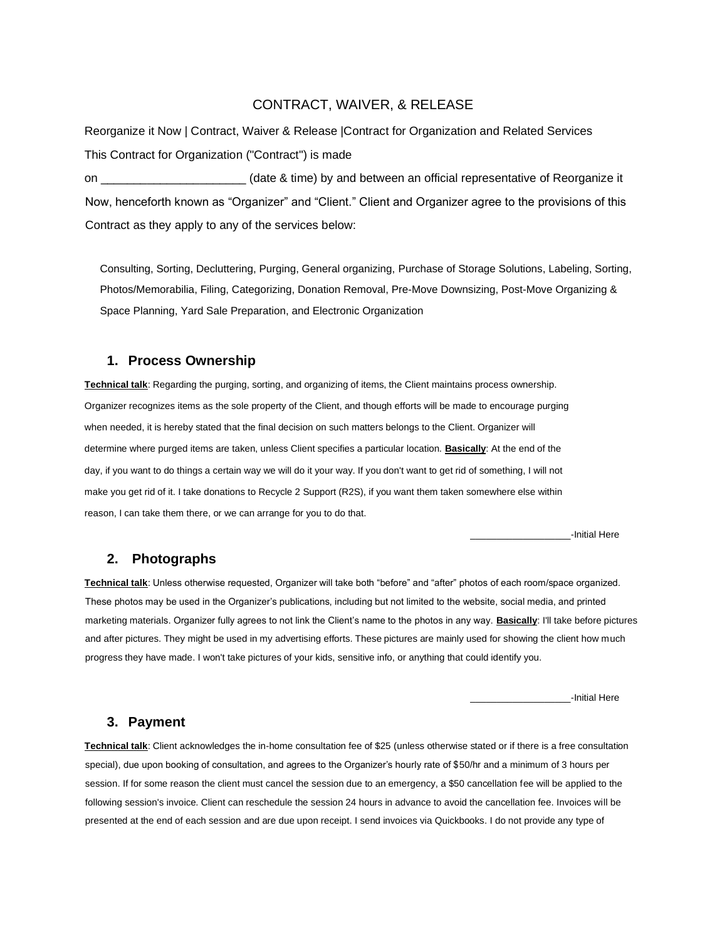## CONTRACT, WAIVER, & RELEASE

Reorganize it Now | Contract, Waiver & Release |Contract for Organization and Related Services This Contract for Organization ("Contract") is made on \_\_\_\_\_\_\_\_\_\_\_\_\_\_\_\_\_\_\_\_\_\_ (date & time) by and between an official representative of Reorganize it Now, henceforth known as "Organizer" and "Client." Client and Organizer agree to the provisions of this Contract as they apply to any of the services below:

Consulting, Sorting, Decluttering, Purging, General organizing, Purchase of Storage Solutions, Labeling, Sorting, Photos/Memorabilia, Filing, Categorizing, Donation Removal, Pre-Move Downsizing, Post-Move Organizing & Space Planning, Yard Sale Preparation, and Electronic Organization

#### **1. Process Ownership**

**Technical talk**: Regarding the purging, sorting, and organizing of items, the Client maintains process ownership. Organizer recognizes items as the sole property of the Client, and though efforts will be made to encourage purging when needed, it is hereby stated that the final decision on such matters belongs to the Client. Organizer will determine where purged items are taken, unless Client specifies a particular location. **Basically**: At the end of the day, if you want to do things a certain way we will do it your way. If you don't want to get rid of something, I will not make you get rid of it. I take donations to Recycle 2 Support (R2S), if you want them taken somewhere else within reason, I can take them there, or we can arrange for you to do that.

\_\_\_\_\_\_\_\_\_\_\_\_\_\_\_\_\_\_\_-Initial Here

### **2. Photographs**

**Technical talk**: Unless otherwise requested, Organizer will take both "before" and "after" photos of each room/space organized. These photos may be used in the Organizer's publications, including but not limited to the website, social media, and printed marketing materials. Organizer fully agrees to not link the Client's name to the photos in any way. **Basically**: I'll take before pictures and after pictures. They might be used in my advertising efforts. These pictures are mainly used for showing the client how much progress they have made. I won't take pictures of your kids, sensitive info, or anything that could identify you.

\_\_\_\_\_\_\_\_\_\_\_\_\_\_\_\_\_\_\_-Initial Here

#### **3. Payment**

**Technical talk**: Client acknowledges the in-home consultation fee of \$25 (unless otherwise stated or if there is a free consultation special), due upon booking of consultation, and agrees to the Organizer's hourly rate of \$50/hr and a minimum of 3 hours per session. If for some reason the client must cancel the session due to an emergency, a \$50 cancellation fee will be applied to the following session's invoice. Client can reschedule the session 24 hours in advance to avoid the cancellation fee. Invoices will be presented at the end of each session and are due upon receipt. I send invoices via Quickbooks. I do not provide any type of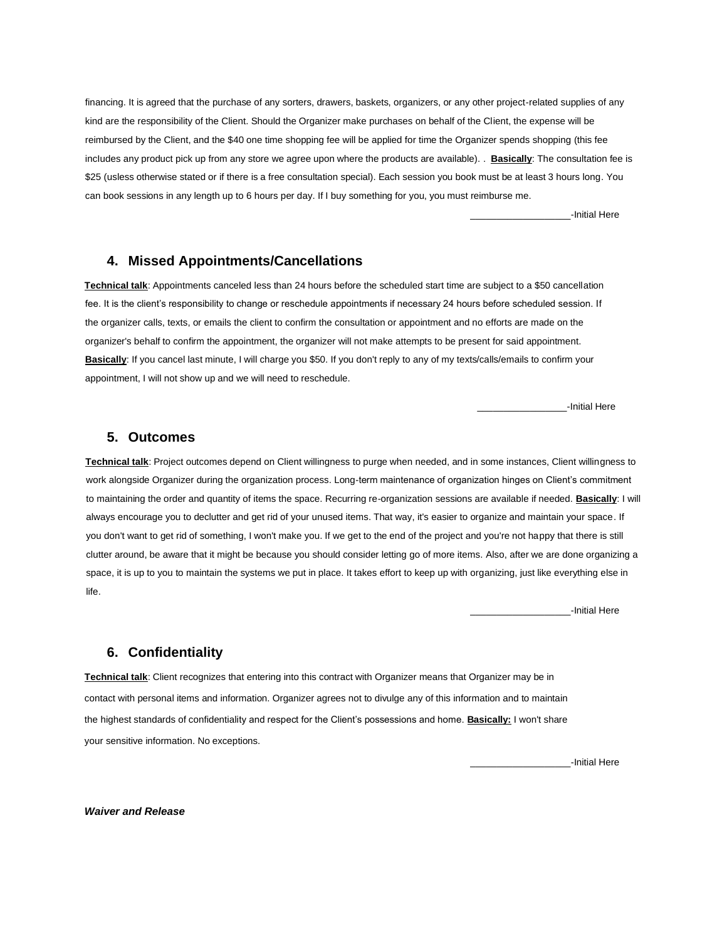financing. It is agreed that the purchase of any sorters, drawers, baskets, organizers, or any other project-related supplies of any kind are the responsibility of the Client. Should the Organizer make purchases on behalf of the Client, the expense will be reimbursed by the Client, and the \$40 one time shopping fee will be applied for time the Organizer spends shopping (this fee incIudes any product pick up from any store we agree upon where the products are available). . **Basically**: The consultation fee is \$25 (usless otherwise stated or if there is a free consultation special). Each session you book must be at least 3 hours long. You can book sessions in any length up to 6 hours per day. If I buy something for you, you must reimburse me.

\_\_\_\_\_\_\_\_\_\_\_\_\_\_\_\_\_\_\_-Initial Here

# **4. Missed Appointments/Cancellations**

**Technical talk**: Appointments canceled less than 24 hours before the scheduled start time are subject to a \$50 cancellation fee. It is the client's responsibility to change or reschedule appointments if necessary 24 hours before scheduled session. If the organizer calls, texts, or emails the client to confirm the consultation or appointment and no efforts are made on the organizer's behalf to confirm the appointment, the organizer will not make attempts to be present for said appointment. **Basically**: If you cancel last minute, I will charge you \$50. If you don't reply to any of my texts/calls/emails to confirm your appointment, I will not show up and we will need to reschedule.

\_\_\_\_\_\_\_\_\_\_\_\_\_\_\_\_\_-Initial Here

### **5. Outcomes**

**Technical talk**: Project outcomes depend on Client willingness to purge when needed, and in some instances, Client willingness to work alongside Organizer during the organization process. Long-term maintenance of organization hinges on Client's commitment to maintaining the order and quantity of items the space. Recurring re-organization sessions are available if needed. **Basically**: I will always encourage you to declutter and get rid of your unused items. That way, it's easier to organize and maintain your space. If you don't want to get rid of something, I won't make you. If we get to the end of the project and you're not happy that there is still clutter around, be aware that it might be because you should consider letting go of more items. Also, after we are done organizing a space, it is up to you to maintain the systems we put in place. It takes effort to keep up with organizing, just like everything else in life.

\_\_\_\_\_\_\_\_\_\_\_\_\_\_\_\_\_\_\_-Initial Here

### **6. Confidentiality**

**Technical talk**: Client recognizes that entering into this contract with Organizer means that Organizer may be in contact with personal items and information. Organizer agrees not to divulge any of this information and to maintain the highest standards of confidentiality and respect for the Client's possessions and home. **Basically:** I won't share your sensitive information. No exceptions.

\_\_\_\_\_\_\_\_\_\_\_\_\_\_\_\_\_\_\_-Initial Here

*Waiver and Release*